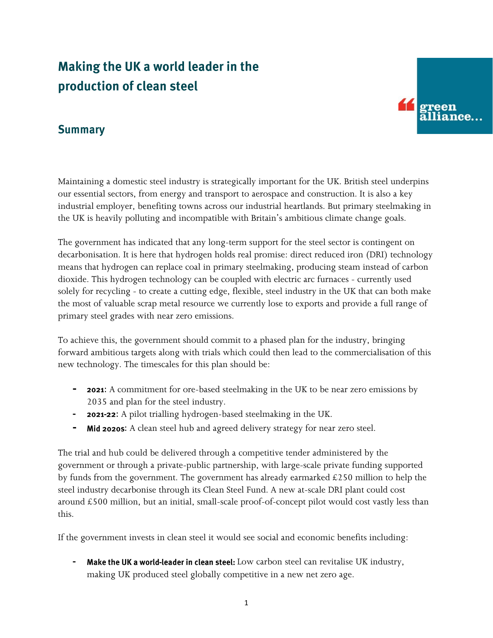# Making the UK a world leader in the production of clean steel



### **Summary**

Maintaining a domestic steel industry is strategically important for the UK. British steel underpins our essential sectors, from energy and transport to aerospace and construction. It is also a key industrial employer, benefiting towns across our industrial heartlands. But primary steelmaking in the UK is heavily polluting and incompatible with Britain's ambitious climate change goals.

The government has indicated that any long-term support for the steel sector is contingent on decarbonisation. It is here that hydrogen holds real promise: direct reduced iron (DRI) technology means that hydrogen can replace coal in primary steelmaking, producing steam instead of carbon dioxide. This hydrogen technology can be coupled with electric arc furnaces - currently used solely for recycling - to create a cutting edge, flexible, steel industry in the UK that can both make the most of valuable scrap metal resource we currently lose to exports and provide a full range of primary steel grades with near zero emissions.

To achieve this, the government should commit to a phased plan for the industry, bringing forward ambitious targets along with trials which could then lead to the commercialisation of this new technology. The timescales for this plan should be:

- **- 2021:** A commitment for ore-based steelmaking in the UK to be near zero emissions by 2035 and plan for the steel industry.
- **- 2021-22:** A pilot trialling hydrogen-based steelmaking in the UK.
- **-** Mid 2020s: A clean steel hub and agreed delivery strategy for near zero steel.

The trial and hub could be delivered through a competitive tender administered by the government or through a private-public partnership, with large-scale private funding supported by funds from the government. The government has already earmarked  $\text{\pounds}250$  million to help the steel industry decarbonise through its Clean Steel Fund. A new at-scale DRI plant could cost around £500 million, but an initial, small-scale proof-of-concept pilot would cost vastly less than this.

If the government invests in clean steel it would see social and economic benefits including:

Make the UK a world-leader in clean steel: Low carbon steel can revitalise UK industry, making UK produced steel globally competitive in a new net zero age.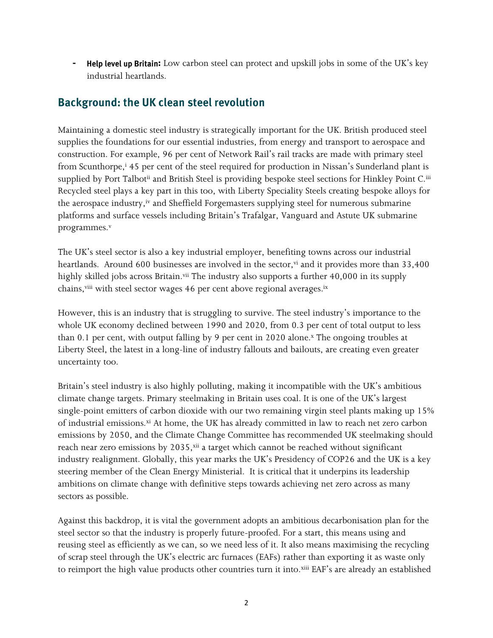**Help level up Britain:** Low carbon steel can protect and upskill jobs in some of the UK's key industrial heartlands.

# **Background: the UK clean steel revolution**

Maintaining a domestic steel industry is strategically important for the UK. British produced steel supplies the foundations for our essential industries, from energy and transport to aerospace and construction. For example, 96 per cent of Network Rail's rail tracks are made with primary steel from Scunthorpe,<sup>i</sup> 45 per cent of the steel required for production in Nissan's Sunderland plant is supplied by Port Talbot<sup>ii</sup> and British Steel is providing bespoke steel sections for Hinkley Point C.<sup>iii</sup> Recycled steel plays a key part in this too, with Liberty Speciality Steels creating bespoke alloys for the aerospace industry,<sup>iv</sup> and Sheffield Forgemasters supplying steel for numerous submarine platforms and surface vessels including Britain's Trafalgar, Vanguard and Astute UK submarine programmes.<sup>v</sup>

The UK's steel sector is also a key industrial employer, benefiting towns across our industrial heartlands. Around 600 businesses are involved in the sector, $v_i$  and it provides more than 33,400 highly skilled jobs across Britain.<sup>vii</sup> The industry also supports a further 40,000 in its supply chains, viii with steel sector wages 46 per cent above regional averages.<sup>ix</sup>

However, this is an industry that is struggling to survive. The steel industry's importance to the whole UK economy declined between 1990 and 2020, from 0.3 per cent of total output to less than 0.1 per cent, with output falling by 9 per cent in 2020 alone. $x$  The ongoing troubles at Liberty Steel, the latest in a long-line of industry fallouts and bailouts, are creating even greater uncertainty too.

Britain's steel industry is also highly polluting, making it incompatible with the UK's ambitious climate change targets. Primary steelmaking in Britain uses coal. It is one of the UK's largest single-point emitters of carbon dioxide with our two remaining virgin steel plants making up 15% of industrial emissions.<sup>xi</sup> At home, the UK has already committed in law to reach net zero carbon emissions by 2050, and the Climate Change Committee has recommended UK steelmaking should reach near zero emissions by 2035, xii a target which cannot be reached without significant industry realignment. Globally, this year marks the UK's Presidency of COP26 and the UK is a key steering member of the Clean Energy Ministerial. It is critical that it underpins its leadership ambitions on climate change with definitive steps towards achieving net zero across as many sectors as possible.

Against this backdrop, it is vital the government adopts an ambitious decarbonisation plan for the steel sector so that the industry is properly future-proofed. For a start, this means using and reusing steel as efficiently as we can, so we need less of it. It also means maximising the recycling of scrap steel through the UK's electric arc furnaces (EAFs) rather than exporting it as waste only to reimport the high value products other countries turn it into.xiii EAF's are already an established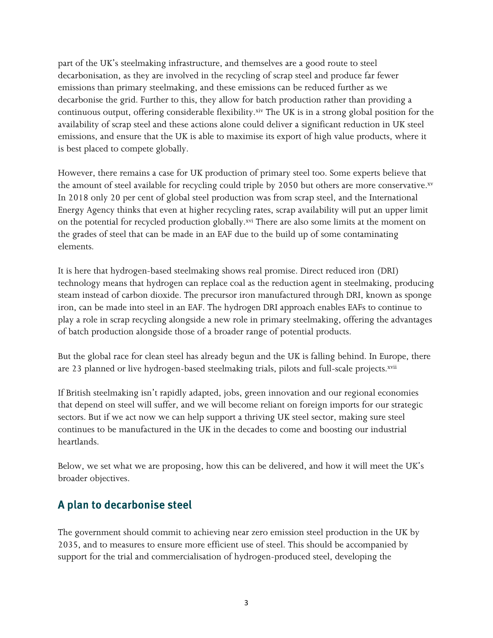part of the UK's steelmaking infrastructure, and themselves are a good route to steel decarbonisation, as they are involved in the recycling of scrap steel and produce far fewer emissions than primary steelmaking, and these emissions can be reduced further as we decarbonise the grid. Further to this, they allow for batch production rather than providing a continuous output, offering considerable flexibility.xiv The UK is in a strong global position for the availability of scrap steel and these actions alone could deliver a significant reduction in UK steel emissions, and ensure that the UK is able to maximise its export of high value products, where it is best placed to compete globally.

However, there remains a case for UK production of primary steel too. Some experts believe that the amount of steel available for recycling could triple by 2050 but others are more conservative. $^{\mathrm{sv}}$ In 2018 only 20 per cent of global steel production was from scrap steel, and the International Energy Agency thinks that even at higher recycling rates, scrap availability will put an upper limit on the potential for recycled production globally.<sup>xvi</sup> There are also some limits at the moment on the grades of steel that can be made in an EAF due to the build up of some contaminating elements.

It is here that hydrogen-based steelmaking shows real promise. Direct reduced iron (DRI) technology means that hydrogen can replace coal as the reduction agent in steelmaking, producing steam instead of carbon dioxide. The precursor iron manufactured through DRI, known as sponge iron, can be made into steel in an EAF. The hydrogen DRI approach enables EAFs to continue to play a role in scrap recycling alongside a new role in primary steelmaking, offering the advantages of batch production alongside those of a broader range of potential products.

But the global race for clean steel has already begun and the UK is falling behind. In Europe, there are 23 planned or live hydrogen-based steelmaking trials, pilots and full-scale projects.<sup>xvii</sup>

If British steelmaking isn't rapidly adapted, jobs, green innovation and our regional economies that depend on steel will suffer, and we will become reliant on foreign imports for our strategic sectors. But if we act now we can help support a thriving UK steel sector, making sure steel continues to be manufactured in the UK in the decades to come and boosting our industrial heartlands.

Below, we set what we are proposing, how this can be delivered, and how it will meet the UK's broader objectives.

# A plan to decarbonise steel

The government should commit to achieving near zero emission steel production in the UK by 2035, and to measures to ensure more efficient use of steel. This should be accompanied by support for the trial and commercialisation of hydrogen-produced steel, developing the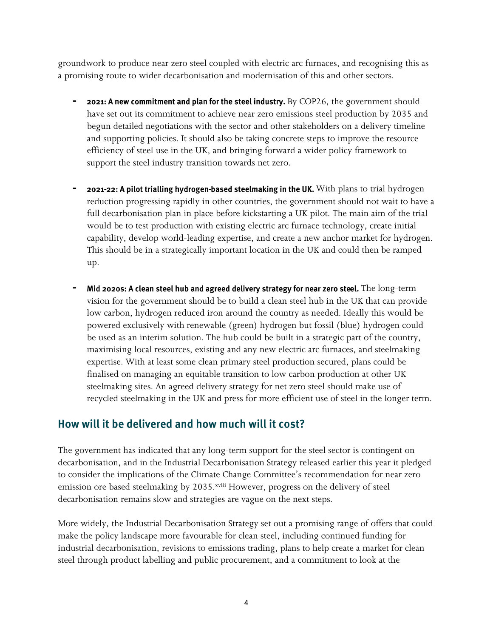groundwork to produce near zero steel coupled with electric arc furnaces, and recognising this as a promising route to wider decarbonisation and modernisation of this and other sectors.

- 2021: A new commitment and plan for the steel industry. By COP26, the government should have set out its commitment to achieve near zero emissions steel production by 2035 and begun detailed negotiations with the sector and other stakeholders on a delivery timeline and supporting policies. It should also be taking concrete steps to improve the resource efficiency of steel use in the UK, and bringing forward a wider policy framework to support the steel industry transition towards net zero.
- **-** 2021-22: A pilot trialling hydrogen-based steelmaking in the UK. With plans to trial hydrogen reduction progressing rapidly in other countries, the government should not wait to have a full decarbonisation plan in place before kickstarting a UK pilot. The main aim of the trial would be to test production with existing electric arc furnace technology, create initial capability, develop world-leading expertise, and create a new anchor market for hydrogen. This should be in a strategically important location in the UK and could then be ramped up.
- Mid 2020s: A clean steel hub and agreed delivery strategy for near zero steel. The long-term vision for the government should be to build a clean steel hub in the UK that can provide low carbon, hydrogen reduced iron around the country as needed. Ideally this would be powered exclusively with renewable (green) hydrogen but fossil (blue) hydrogen could be used as an interim solution. The hub could be built in a strategic part of the country, maximising local resources, existing and any new electric arc furnaces, and steelmaking expertise. With at least some clean primary steel production secured, plans could be finalised on managing an equitable transition to low carbon production at other UK steelmaking sites. An agreed delivery strategy for net zero steel should make use of recycled steelmaking in the UK and press for more efficient use of steel in the longer term.

#### How will it be delivered and how much will it cost?

The government has indicated that any long-term support for the steel sector is contingent on decarbonisation, and in the Industrial Decarbonisation Strategy released earlier this year it pledged to consider the implications of the Climate Change Committee's recommendation for near zero emission ore based steelmaking by 2035.xviii However, progress on the delivery of steel decarbonisation remains slow and strategies are vague on the next steps.

More widely, the Industrial Decarbonisation Strategy set out a promising range of offers that could make the policy landscape more favourable for clean steel, including continued funding for industrial decarbonisation, revisions to emissions trading, plans to help create a market for clean steel through product labelling and public procurement, and a commitment to look at the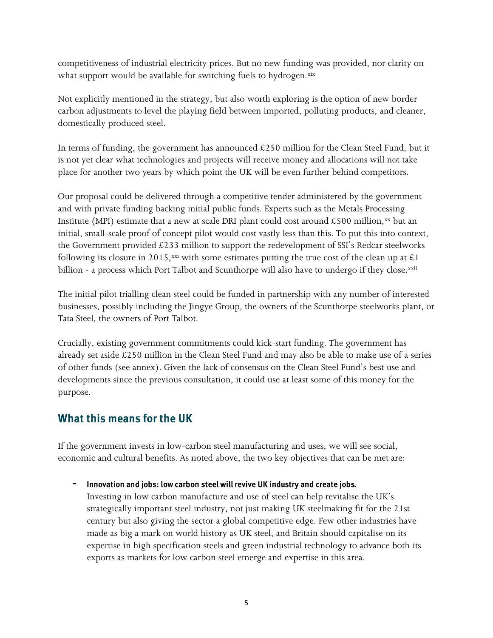competitiveness of industrial electricity prices. But no new funding was provided, nor clarity on what support would be available for switching fuels to hydrogen.xix

Not explicitly mentioned in the strategy, but also worth exploring is the option of new border carbon adjustments to level the playing field between imported, polluting products, and cleaner, domestically produced steel.

In terms of funding, the government has announced  $£250$  million for the Clean Steel Fund, but it is not yet clear what technologies and projects will receive money and allocations will not take place for another two years by which point the UK will be even further behind competitors.

Our proposal could be delivered through a competitive tender administered by the government and with private funding backing initial public funds. Experts such as the Metals Processing Institute (MPI) estimate that a new at scale DRI plant could cost around £500 million,  $xx$  but an initial, small-scale proof of concept pilot would cost vastly less than this. To put this into context, the Government provided  $£233$  million to support the redevelopment of SSI's Redcar steelworks following its closure in 2015,<sup>xxi</sup> with some estimates putting the true cost of the clean up at £1 billion - a process which Port Talbot and Scunthorpe will also have to undergo if they close.<sup>xxii</sup>

The initial pilot trialling clean steel could be funded in partnership with any number of interested businesses, possibly including the Jingye Group, the owners of the Scunthorpe steelworks plant, or Tata Steel, the owners of Port Talbot.

Crucially, existing government commitments could kick-start funding. The government has already set aside £250 million in the Clean Steel Fund and may also be able to make use of a series of other funds (see annex). Given the lack of consensus on the Clean Steel Fund's best use and developments since the previous consultation, it could use at least some of this money for the purpose.

# What this means for the UK

If the government invests in low-carbon steel manufacturing and uses, we will see social, economic and cultural benefits. As noted above, the two key objectives that can be met are:

Innovation and jobs: low carbon steel will revive UK industry and create jobs.

Investing in low carbon manufacture and use of steel can help revitalise the UK's strategically important steel industry, not just making UK steelmaking fit for the 21st century but also giving the sector a global competitive edge. Few other industries have made as big a mark on world history as UK steel, and Britain should capitalise on its expertise in high specification steels and green industrial technology to advance both its exports as markets for low carbon steel emerge and expertise in this area.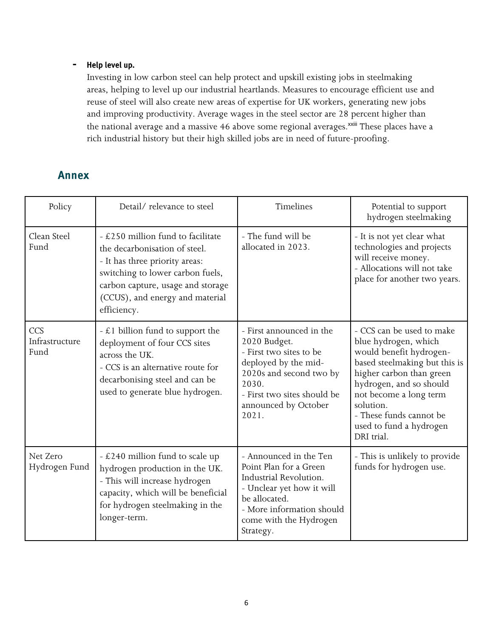#### Help level up. **-**

Investing in low carbon steel can help protect and upskill existing jobs in steelmaking areas, helping to level up our industrial heartlands. Measures to encourage efficient use and reuse of steel will also create new areas of expertise for UK workers, generating new jobs and improving productivity. Average wages in the steel sector are 28 percent higher than the national average and a massive 46 above some regional averages.<sup>xxiii</sup> These places have a rich industrial history but their high skilled jobs are in need of future-proofing.

# **Annex**

| Policy                        | Detail/relevance to steel                                                                                                                                                                                                       | Timelines                                                                                                                                                                                       | Potential to support<br>hydrogen steelmaking                                                                                                                                                                                                                                    |
|-------------------------------|---------------------------------------------------------------------------------------------------------------------------------------------------------------------------------------------------------------------------------|-------------------------------------------------------------------------------------------------------------------------------------------------------------------------------------------------|---------------------------------------------------------------------------------------------------------------------------------------------------------------------------------------------------------------------------------------------------------------------------------|
| Clean Steel<br>Fund           | - £250 million fund to facilitate<br>the decarbonisation of steel.<br>- It has three priority areas:<br>switching to lower carbon fuels,<br>carbon capture, usage and storage<br>(CCUS), and energy and material<br>efficiency. | - The fund will be<br>allocated in 2023.                                                                                                                                                        | - It is not yet clear what<br>technologies and projects<br>will receive money.<br>- Allocations will not take<br>place for another two years.                                                                                                                                   |
| CCS<br>Infrastructure<br>Fund | $- \mathcal{L}$ 1 billion fund to support the<br>deployment of four CCS sites<br>across the UK.<br>- CCS is an alternative route for<br>decarbonising steel and can be<br>used to generate blue hydrogen.                       | - First announced in the<br>2020 Budget.<br>- First two sites to be<br>deployed by the mid-<br>2020s and second two by<br>2030.<br>- First two sites should be<br>announced by October<br>2021. | - CCS can be used to make<br>blue hydrogen, which<br>would benefit hydrogen-<br>based steelmaking but this is<br>higher carbon than green<br>hydrogen, and so should<br>not become a long term<br>solution.<br>- These funds cannot be<br>used to fund a hydrogen<br>DRI trial. |
| Net Zero<br>Hydrogen Fund     | - £240 million fund to scale up<br>hydrogen production in the UK.<br>- This will increase hydrogen<br>capacity, which will be beneficial<br>for hydrogen steelmaking in the<br>longer-term.                                     | - Announced in the Ten<br>Point Plan for a Green<br>Industrial Revolution.<br>- Unclear yet how it will<br>be allocated.<br>- More information should<br>come with the Hydrogen<br>Strategy.    | - This is unlikely to provide<br>funds for hydrogen use.                                                                                                                                                                                                                        |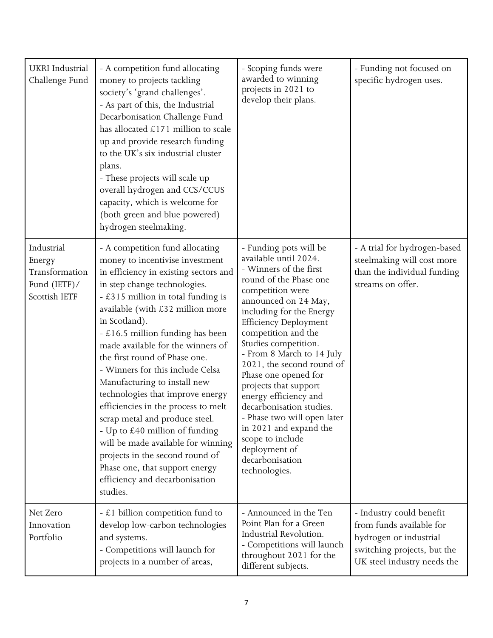| UKRI Industrial<br>Challenge Fund                                         | - A competition fund allocating<br>money to projects tackling<br>society's 'grand challenges'.<br>- As part of this, the Industrial<br>Decarbonisation Challenge Fund<br>has allocated £171 million to scale<br>up and provide research funding<br>to the UK's six industrial cluster<br>plans.<br>- These projects will scale up<br>overall hydrogen and CCS/CCUS<br>capacity, which is welcome for<br>(both green and blue powered)<br>hydrogen steelmaking.                                                                                                                                                                                                                                                                   | - Scoping funds were<br>awarded to winning<br>projects in 2021 to<br>develop their plans.                                                                                                                                                                                                                                                                                                                                                                                                                                                                  | - Funding not focused on<br>specific hydrogen uses.                                                                                          |
|---------------------------------------------------------------------------|----------------------------------------------------------------------------------------------------------------------------------------------------------------------------------------------------------------------------------------------------------------------------------------------------------------------------------------------------------------------------------------------------------------------------------------------------------------------------------------------------------------------------------------------------------------------------------------------------------------------------------------------------------------------------------------------------------------------------------|------------------------------------------------------------------------------------------------------------------------------------------------------------------------------------------------------------------------------------------------------------------------------------------------------------------------------------------------------------------------------------------------------------------------------------------------------------------------------------------------------------------------------------------------------------|----------------------------------------------------------------------------------------------------------------------------------------------|
| Industrial<br>Energy<br>Transformation<br>Fund $(ETF)$ /<br>Scottish IETF | - A competition fund allocating<br>money to incentivise investment<br>in efficiency in existing sectors and<br>in step change technologies.<br>- £315 million in total funding is<br>available (with $£32$ million more<br>in Scotland).<br>$-$ £16.5 million funding has been<br>made available for the winners of<br>the first round of Phase one.<br>- Winners for this include Celsa<br>Manufacturing to install new<br>technologies that improve energy<br>efficiencies in the process to melt<br>scrap metal and produce steel.<br>- Up to £40 million of funding<br>will be made available for winning<br>projects in the second round of<br>Phase one, that support energy<br>efficiency and decarbonisation<br>studies. | - Funding pots will be<br>available until 2024.<br>- Winners of the first<br>round of the Phase one<br>competition were<br>announced on 24 May,<br>including for the Energy<br><b>Efficiency Deployment</b><br>competition and the<br>Studies competition.<br>- From 8 March to 14 July<br>2021, the second round of<br>Phase one opened for<br>projects that support<br>energy efficiency and<br>decarbonisation studies.<br>Phase two will open later<br>in 2021 and expand the<br>scope to include<br>deployment of<br>decarbonisation<br>technologies. | - A trial for hydrogen-based<br>steelmaking will cost more<br>than the individual funding<br>streams on offer.                               |
| Net Zero<br>Innovation<br>Portfolio                                       | $- \mathcal{L}$ 1 billion competition fund to<br>develop low-carbon technologies<br>and systems.<br>- Competitions will launch for<br>projects in a number of areas,                                                                                                                                                                                                                                                                                                                                                                                                                                                                                                                                                             | - Announced in the Ten<br>Point Plan for a Green<br>Industrial Revolution.<br>- Competitions will launch<br>throughout 2021 for the<br>different subjects.                                                                                                                                                                                                                                                                                                                                                                                                 | - Industry could benefit<br>from funds available for<br>hydrogen or industrial<br>switching projects, but the<br>UK steel industry needs the |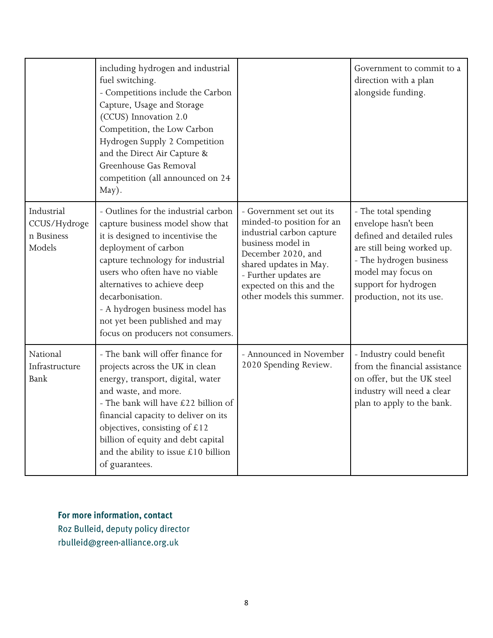|                                                    | including hydrogen and industrial<br>fuel switching.<br>- Competitions include the Carbon<br>Capture, Usage and Storage<br>(CCUS) Innovation 2.0<br>Competition, the Low Carbon<br>Hydrogen Supply 2 Competition<br>and the Direct Air Capture &<br>Greenhouse Gas Removal<br>competition (all announced on 24<br>May).                                                    |                                                                                                                                                                                                                                           | Government to commit to a<br>direction with a plan<br>alongside funding.                                                                                                                                      |
|----------------------------------------------------|----------------------------------------------------------------------------------------------------------------------------------------------------------------------------------------------------------------------------------------------------------------------------------------------------------------------------------------------------------------------------|-------------------------------------------------------------------------------------------------------------------------------------------------------------------------------------------------------------------------------------------|---------------------------------------------------------------------------------------------------------------------------------------------------------------------------------------------------------------|
| Industrial<br>CCUS/Hydroge<br>n Business<br>Models | - Outlines for the industrial carbon<br>capture business model show that<br>it is designed to incentivise the<br>deployment of carbon<br>capture technology for industrial<br>users who often have no viable<br>alternatives to achieve deep<br>decarbonisation.<br>- A hydrogen business model has<br>not yet been published and may<br>focus on producers not consumers. | - Government set out its<br>minded-to position for an<br>industrial carbon capture<br>business model in<br>December 2020, and<br>shared updates in May.<br>- Further updates are<br>expected on this and the<br>other models this summer. | - The total spending<br>envelope hasn't been<br>defined and detailed rules<br>are still being worked up.<br>- The hydrogen business<br>model may focus on<br>support for hydrogen<br>production, not its use. |
| National<br>Infrastructure<br><b>Bank</b>          | - The bank will offer finance for<br>projects across the UK in clean<br>energy, transport, digital, water<br>and waste, and more.<br>- The bank will have £22 billion of<br>financial capacity to deliver on its<br>objectives, consisting of $£12$<br>billion of equity and debt capital<br>and the ability to issue $£10$ billion<br>of guarantees.                      | - Announced in November<br>2020 Spending Review.                                                                                                                                                                                          | - Industry could benefit<br>from the financial assistance<br>on offer, but the UK steel<br>industry will need a clear<br>plan to apply to the bank.                                                           |

#### For more information, contact

Roz Bulleid, deputy policy director rbulleid@green-alliance.org.uk